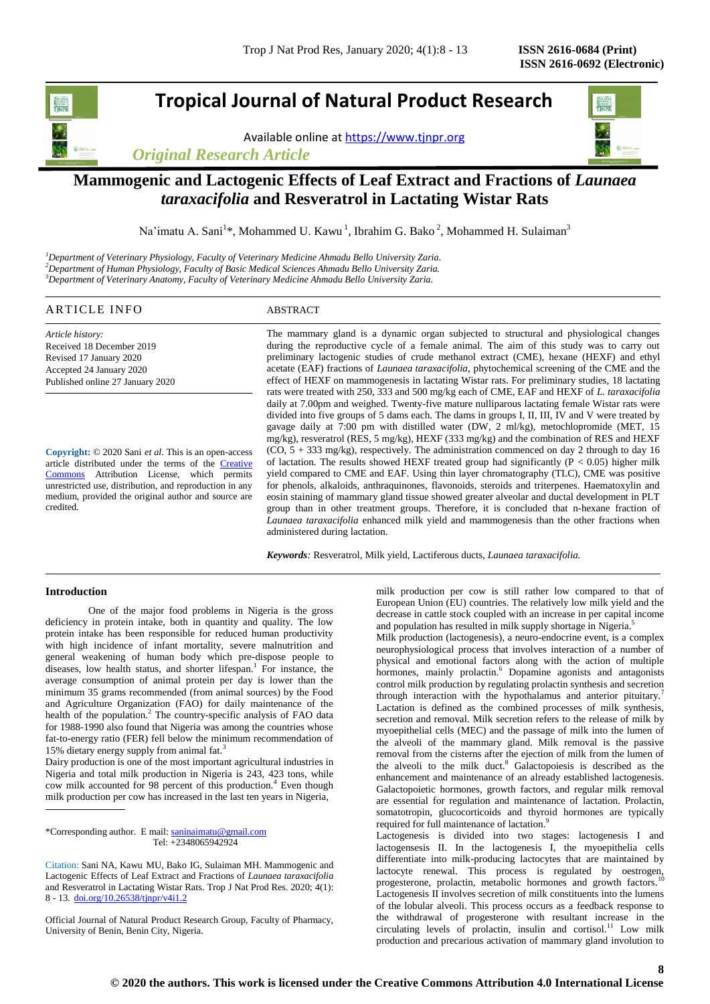# **Tropical Journal of Natural Product Research**

Available online a[t https://www.tjnpr.org](https://www.tjnpr.org/)

*Original Research Article*



## **Mammogenic and Lactogenic Effects of Leaf Extract and Fractions of** *Launaea taraxacifolia* **and Resveratrol in Lactating Wistar Rats**

Na'imatu A. Sani<sup>1</sup>\*, Mohammed U. Kawu<sup>1</sup>, Ibrahim G. Bako<sup>2</sup>, Mohammed H. Sulaiman<sup>3</sup>

*<sup>1</sup>Department of Veterinary Physiology, Faculty of Veterinary Medicine Ahmadu Bello University Zaria. <sup>2</sup>Department of Human Physiology, Faculty of Basic Medical Sciences Ahmadu Bello University Zaria. <sup>3</sup>Department of Veterinary Anatomy, Faculty of Veterinary Medicine Ahmadu Bello University Zaria.*

## ARTICLE INFO ABSTRACT

*Article history:* Received 18 December 2019 Revised 17 January 2020 Accepted 24 January 2020 Published online 27 January 2020

**Copyright:** © 2020 Sani *et al*. This is an open-access article distributed under the terms of the **Creative** [Commons](https://creativecommons.org/licenses/by/4.0/) Attribution License, which permits unrestricted use, distribution, and reproduction in any medium, provided the original author and source are credited.

The mammary gland is a dynamic organ subjected to structural and physiological changes during the reproductive cycle of a female animal. The aim of this study was to carry out preliminary lactogenic studies of crude methanol extract (CME), hexane (HEXF) and ethyl acetate (EAF) fractions of *Launaea taraxacifolia,* phytochemical screening of the CME and the effect of HEXF on mammogenesis in lactating Wistar rats. For preliminary studies, 18 lactating rats were treated with 250, 333 and 500 mg/kg each of CME, EAF and HEXF of *L. taraxacifolia*  daily at 7.00pm and weighed. Twenty-five mature nulliparous lactating female Wistar rats were divided into five groups of 5 dams each. The dams in groups I, II, III, IV and V were treated by gavage daily at 7:00 pm with distilled water (DW, 2 ml/kg), metochlopromide (MET, 15 mg/kg), resveratrol (RES, 5 mg/kg), HEXF (333 mg/kg) and the combination of RES and HEXF (CO, 5 + 333 mg/kg), respectively. The administration commenced on day 2 through to day 16 of lactation. The results showed HEXF treated group had significantly ( $\overline{P}$  < 0.05) higher milk yield compared to CME and EAF. Using thin layer chromatography (TLC), CME was positive for phenols, alkaloids, anthraquinones, flavonoids, steroids and triterpenes. Haematoxylin and eosin staining of mammary gland tissue showed greater alveolar and ductal development in PLT group than in other treatment groups. Therefore, it is concluded that n-hexane fraction of *Launaea taraxacifolia* enhanced milk yield and mammogenesis than the other fractions when administered during lactation.

*Keywords:* Resveratrol, Milk yield, Lactiferous ducts, *Launaea taraxacifolia.*

## **Introduction**

One of the major food problems in Nigeria is the gross deficiency in protein intake, both in quantity and quality. The low protein intake has been responsible for reduced human productivity with high incidence of infant mortality, severe malnutrition and general weakening of human body which pre-dispose people to diseases, low health status, and shorter lifespan.<sup>1</sup> For instance, the average consumption of animal protein per day is lower than the minimum 35 grams recommended (from animal sources) by the Food and Agriculture Organization (FAO) for daily maintenance of the health of the population.<sup>2</sup> The country-specific analysis of FAO data for 1988-1990 also found that Nigeria was among the countries whose fat-to-energy ratio (FER) fell below the minimum recommendation of 15% dietary energy supply from animal fat.<sup>3</sup>

Dairy production is one of the most important agricultural industries in Nigeria and total milk production in Nigeria is 243, 423 tons, while cow milk accounted for 98 percent of this production.<sup>4</sup> Even though milk production per cow has increased in the last ten years in Nigeria,

\*Corresponding author. E mail[: saninaimatu@gmail.com](mailto:saninaimatu@gmail.com) Tel: +2348065942924

Official Journal of Natural Product Research Group, Faculty of Pharmacy, University of Benin, Benin City, Nigeria.

milk production per cow is still rather low compared to that of European Union (EU) countries. The relatively low milk yield and the decrease in cattle stock coupled with an increase in per capital income and population has resulted in milk supply shortage in Nigeria.<sup>5</sup>

Milk production (lactogenesis), a neuro-endocrine event, is a complex neurophysiological process that involves interaction of a number of physical and emotional factors along with the action of multiple hormones, mainly prolactin.<sup>6</sup> Dopamine agonists and antagonists control milk production by regulating prolactin synthesis and secretion through interaction with the hypothalamus and anterior pituitary. Lactation is defined as the combined processes of milk synthesis, secretion and removal. Milk secretion refers to the release of milk by myoepithelial cells (MEC) and the passage of milk into the lumen of the alveoli of the mammary gland. Milk removal is the passive removal from the cisterns after the ejection of milk from the lumen of the alveoli to the milk duct.<sup>8</sup> Galactopoiesis is described as the enhancement and maintenance of an already established lactogenesis. Galactopoietic hormones, growth factors, and regular milk removal are essential for regulation and maintenance of lactation. Prolactin, somatotropin, glucocorticoids and thyroid hormones are typically required for full maintenance of lactation.<sup>9</sup>

Lactogenesis is divided into two stages: lactogenesis I and lactogensesis II. In the lactogenesis I, the myoepithelia cells differentiate into milk-producing lactocytes that are maintained by lactocyte renewal. This process is regulated by oestrogen, progesterone, prolactin, metabolic hormones and growth factors.<sup>10</sup> Lactogenesis II involves secretion of milk constituents into the lumens of the lobular alveoli. This process occurs as a feedback response to the withdrawal of progesterone with resultant increase in the circulating levels of prolactin, insulin and cortisol.<sup>11</sup> Low milk production and precarious activation of mammary gland involution to

Citation: Sani NA, Kawu MU, Bako IG, Sulaiman MH. Mammogenic and Lactogenic Effects of Leaf Extract and Fractions of *Launaea taraxacifolia* and Resveratrol in Lactating Wistar Rats. Trop J Nat Prod Res. 2020; 4(1): 8 - 13. [doi.org/10.26538/tjnpr/v4i1.2](http://www.doi.org/10.26538/tjnpr/v1i4.5)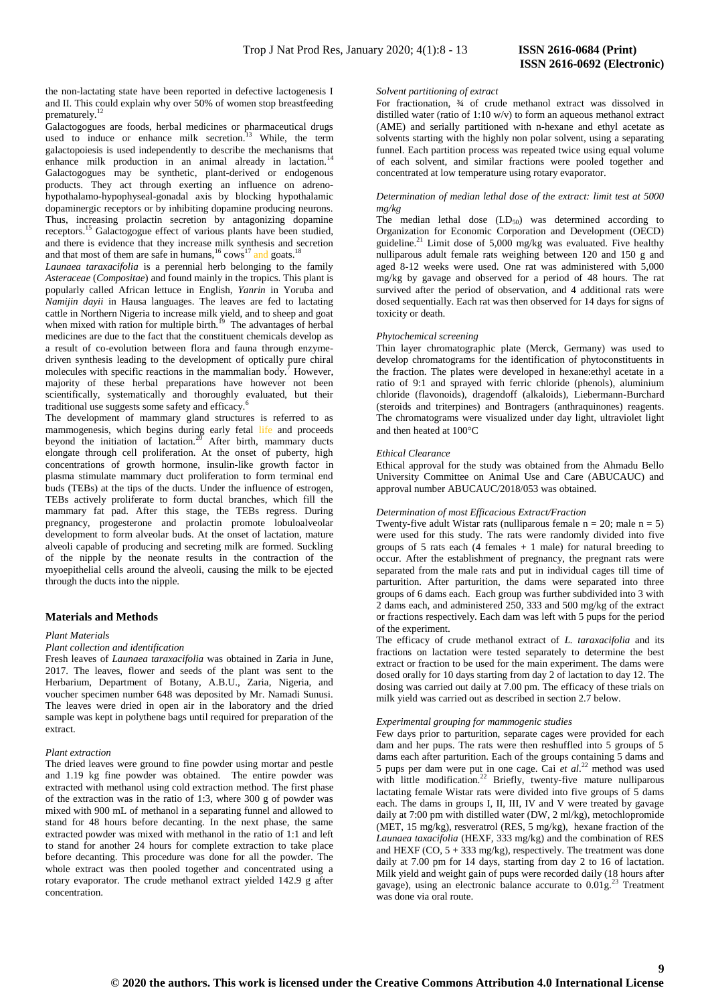the non-lactating state have been reported in defective lactogenesis I and II. This could explain why over 50% of women stop breastfeeding prematurely.<sup>12</sup>

Galactogogues are foods, herbal medicines or pharmaceutical drugs used to induce or enhance milk secretion.<sup>13</sup> While, the term galactopoiesis is used independently to describe the mechanisms that enhance milk production in an animal already in lactation.<sup>1</sup> Galactogogues may be synthetic, plant-derived or endogenous products. They act through exerting an influence on adrenohypothalamo-hypophyseal-gonadal axis by blocking hypothalamic dopaminergic receptors or by inhibiting dopamine producing neurons. Thus, increasing prolactin secretion by antagonizing dopamine receptors.<sup>15</sup> Galactogogue effect of various plants have been studied, and there is evidence that they increase milk synthesis and secretion and that most of them are safe in humans,  $16$  cows<sup>17</sup> and goats.<sup>18</sup>

*Launaea taraxacifolia* is a perennial herb belonging to the family *Asteraceae* (*Compositae*) and found mainly in the tropics. This plant is popularly called African lettuce in English, *Yanrin* in Yoruba and *Namijin dayii* in Hausa languages. The leaves are fed to lactating cattle in Northern Nigeria to increase milk yield, and to sheep and goat when mixed with ration for multiple birth.<sup>19</sup> The advantages of herbal medicines are due to the fact that the constituent chemicals develop as a result of co-evolution between flora and fauna through enzymedriven synthesis leading to the development of optically pure chiral molecules with specific reactions in the mammalian body.<sup> $\bar{\tau}$ </sup> However, majority of these herbal preparations have however not been scientifically, systematically and thoroughly evaluated, but their traditional use suggests some safety and efficacy.<sup>6</sup>

The development of mammary gland structures is referred to as mammogenesis, which begins during early fetal life and proceeds beyond the initiation of lactation.<sup>20</sup> After birth, mammary ducts elongate through cell proliferation. At the onset of puberty, high concentrations of growth hormone, insulin-like growth factor in plasma stimulate mammary duct proliferation to form terminal end buds (TEBs) at the tips of the ducts. Under the influence of estrogen, TEBs actively proliferate to form ductal branches, which fill the mammary fat pad. After this stage, the TEBs regress. During pregnancy, progesterone and prolactin promote lobuloalveolar development to form alveolar buds. At the onset of lactation, mature alveoli capable of producing and secreting milk are formed. Suckling of the nipple by the neonate results in the contraction of the myoepithelial cells around the alveoli, causing the milk to be ejected through the ducts into the nipple.

## **Materials and Methods**

#### *Plant Materials*

#### *Plant collection and identification*

Fresh leaves of *Launaea taraxacifolia* was obtained in Zaria in June, 2017. The leaves, flower and seeds of the plant was sent to the Herbarium, Department of Botany, A.B.U., Zaria, Nigeria, and voucher specimen number 648 was deposited by Mr. Namadi Sunusi. The leaves were dried in open air in the laboratory and the dried sample was kept in polythene bags until required for preparation of the extract.

#### *Plant extraction*

The dried leaves were ground to fine powder using mortar and pestle and 1.19 kg fine powder was obtained. The entire powder was extracted with methanol using cold extraction method. The first phase of the extraction was in the ratio of 1:3, where 300 g of powder was mixed with 900 mL of methanol in a separating funnel and allowed to stand for 48 hours before decanting. In the next phase, the same extracted powder was mixed with methanol in the ratio of 1:1 and left to stand for another 24 hours for complete extraction to take place before decanting. This procedure was done for all the powder. The whole extract was then pooled together and concentrated using a rotary evaporator. The crude methanol extract yielded 142.9 g after concentration.

#### *Solvent partitioning of extract*

For fractionation, ¾ of crude methanol extract was dissolved in distilled water (ratio of 1:10 w/v) to form an aqueous methanol extract (AME) and serially partitioned with n-hexane and ethyl acetate as solvents starting with the highly non polar solvent, using a separating funnel. Each partition process was repeated twice using equal volume of each solvent, and similar fractions were pooled together and concentrated at low temperature using rotary evaporator.

#### *Determination of median lethal dose of the extract: limit test at 5000 mg/kg*

The median lethal dose  $(LD_{50})$  was determined according to Organization for Economic Corporation and Development (OECD) guideline. $^{21}$  Limit dose of 5,000 mg/kg was evaluated. Five healthy nulliparous adult female rats weighing between 120 and 150 g and aged 8-12 weeks were used. One rat was administered with 5,000 mg/kg by gavage and observed for a period of 48 hours. The rat survived after the period of observation, and 4 additional rats were dosed sequentially. Each rat was then observed for 14 days for signs of toxicity or death.

#### *Phytochemical screening*

Thin layer chromatographic plate (Merck, Germany) was used to develop chromatograms for the identification of phytoconstituents in the fraction. The plates were developed in hexane:ethyl acetate in a ratio of 9:1 and sprayed with ferric chloride (phenols), aluminium chloride (flavonoids), dragendoff (alkaloids), Liebermann-Burchard (steroids and triterpines) and Bontragers (anthraquinones) reagents. The chromatograms were visualized under day light, ultraviolet light and then heated at  $100^{\circ}$ C

#### *Ethical Clearance*

Ethical approval for the study was obtained from the Ahmadu Bello University Committee on Animal Use and Care (ABUCAUC) and approval number ABUCAUC/2018/053 was obtained.

#### *Determination of most Efficacious Extract/Fraction*

Twenty-five adult Wistar rats (nulliparous female  $n = 20$ ; male  $n = 5$ ) were used for this study. The rats were randomly divided into five groups of 5 rats each (4 females + 1 male) for natural breeding to occur. After the establishment of pregnancy, the pregnant rats were separated from the male rats and put in individual cages till time of parturition. After parturition, the dams were separated into three groups of 6 dams each. Each group was further subdivided into 3 with 2 dams each, and administered 250, 333 and 500 mg/kg of the extract or fractions respectively. Each dam was left with 5 pups for the period of the experiment.

The efficacy of crude methanol extract of *L. taraxacifolia* and its fractions on lactation were tested separately to determine the best extract or fraction to be used for the main experiment. The dams were dosed orally for 10 days starting from day 2 of lactation to day 12. The dosing was carried out daily at 7.00 pm. The efficacy of these trials on milk yield was carried out as described in section 2.7 below.

#### *Experimental grouping for mammogenic studies*

Few days prior to parturition, separate cages were provided for each dam and her pups. The rats were then reshuffled into 5 groups of 5 dams each after parturition. Each of the groups containing 5 dams and 5 pups per dam were put in one cage. Cai *et al*. <sup>22</sup> method was used with little modification.<sup>22</sup> Briefly, twenty-five mature nulliparous lactating female Wistar rats were divided into five groups of 5 dams each. The dams in groups I, II, III, IV and V were treated by gavage daily at 7:00 pm with distilled water (DW, 2 ml/kg), metochlopromide (MET, 15 mg/kg), resveratrol (RES, 5 mg/kg), hexane fraction of the *Launaea taxacifolia* (HEXF, 333 mg/kg) and the combination of RES and HEXF (CO,  $5 + 333$  mg/kg), respectively. The treatment was done daily at 7.00 pm for 14 days, starting from day 2 to 16 of lactation. Milk yield and weight gain of pups were recorded daily (18 hours after gavage), using an electronic balance accurate to  $0.01g^{23}$  Treatment was done via oral route.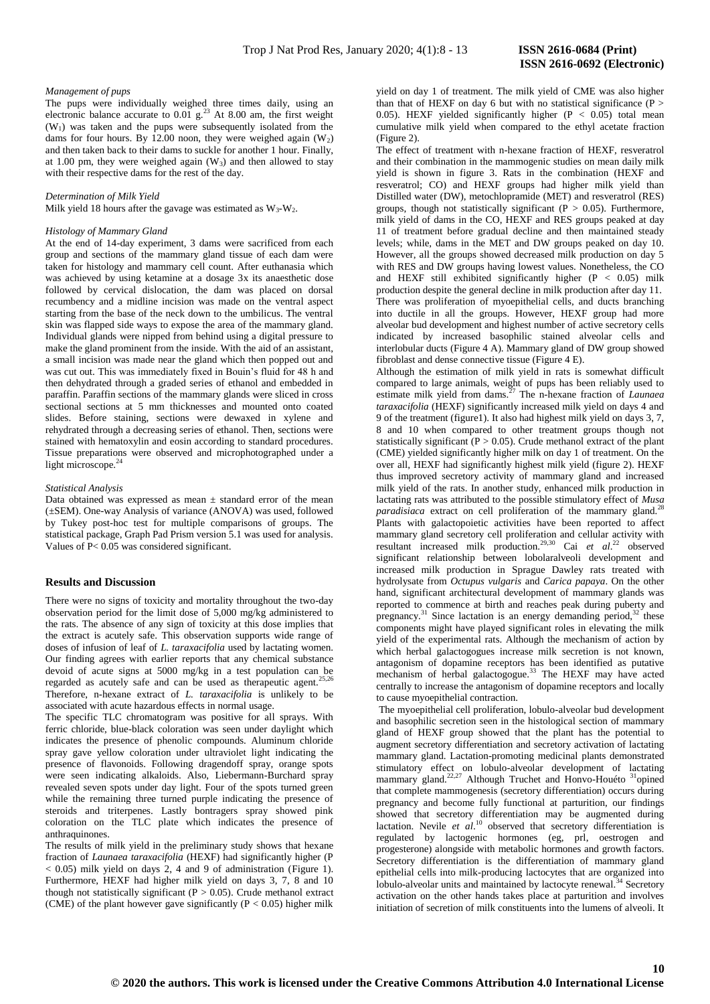#### *Management of pups*

The pups were individually weighed three times daily, using an electronic balance accurate to  $0.01$  g.<sup>23</sup> At 8.00 am, the first weight  $(W<sub>1</sub>)$  was taken and the pups were subsequently isolated from the dams for four hours. By 12.00 noon, they were weighed again  $(W_2)$ and then taken back to their dams to suckle for another 1 hour. Finally, at 1.00 pm, they were weighed again  $(W_3)$  and then allowed to stay with their respective dams for the rest of the day.

#### *Determination of Milk Yield*

Milk yield 18 hours after the gavage was estimated as  $W_3-W_2$ .

## *Histology of Mammary Gland*

At the end of 14-day experiment, 3 dams were sacrificed from each group and sections of the mammary gland tissue of each dam were taken for histology and mammary cell count. After euthanasia which was achieved by using ketamine at a dosage 3x its anaesthetic dose followed by cervical dislocation, the dam was placed on dorsal recumbency and a midline incision was made on the ventral aspect starting from the base of the neck down to the umbilicus. The ventral skin was flapped side ways to expose the area of the mammary gland. Individual glands were nipped from behind using a digital pressure to make the gland prominent from the inside. With the aid of an assistant, a small incision was made near the gland which then popped out and was cut out. This was immediately fixed in Bouin's fluid for 48 h and then dehydrated through a graded series of ethanol and embedded in paraffin. Paraffin sections of the mammary glands were sliced in cross sectional sections at 5 mm thicknesses and mounted onto coated slides. Before staining, sections were dewaxed in xylene and rehydrated through a decreasing series of ethanol. Then, sections were stained with hematoxylin and eosin according to standard procedures. Tissue preparations were observed and microphotographed under a light microscope. $24$ 

## *Statistical Analysis*

Data obtained was expressed as mean  $\pm$  standard error of the mean (±SEM). One-way Analysis of variance (ANOVA) was used, followed by Tukey post-hoc test for multiple comparisons of groups. The statistical package, Graph Pad Prism version 5.1 was used for analysis. Values of P< 0.05 was considered significant.

## **Results and Discussion**

There were no signs of toxicity and mortality throughout the two-day observation period for the limit dose of 5,000 mg/kg administered to the rats. The absence of any sign of toxicity at this dose implies that the extract is acutely safe. This observation supports wide range of doses of infusion of leaf of *L. taraxacifolia* used by lactating women. Our finding agrees with earlier reports that any chemical substance devoid of acute signs at 5000 mg/kg in a test population can be regarded as acutely safe and can be used as therapeutic agent.<sup>25,26</sup> Therefore, n-hexane extract of *L. taraxacifolia* is unlikely to be associated with acute hazardous effects in normal usage.

The specific TLC chromatogram was positive for all sprays. With ferric chloride, blue-black coloration was seen under daylight which indicates the presence of phenolic compounds. Aluminum chloride spray gave yellow coloration under ultraviolet light indicating the presence of flavonoids. Following dragendoff spray, orange spots were seen indicating alkaloids. Also, Liebermann-Burchard spray revealed seven spots under day light. Four of the spots turned green while the remaining three turned purple indicating the presence of steroids and triterpenes. Lastly bontragers spray showed pink coloration on the TLC plate which indicates the presence of anthraquinones.

The results of milk yield in the preliminary study shows that hexane fraction of *Launaea taraxacifolia* (HEXF) had significantly higher (P  $< 0.05$ ) milk yield on days 2, 4 and 9 of administration (Figure 1). Furthermore, HEXF had higher milk yield on days 3, 7, 8 and 10 though not statistically significant ( $P > 0.05$ ). Crude methanol extract (CME) of the plant however gave significantly ( $P < 0.05$ ) higher milk

yield on day 1 of treatment. The milk yield of CME was also higher than that of HEXF on day 6 but with no statistical significance ( $P >$ 0.05). HEXF yielded significantly higher  $(P < 0.05)$  total mean cumulative milk yield when compared to the ethyl acetate fraction (Figure 2).

The effect of treatment with n-hexane fraction of HEXF, resveratrol and their combination in the mammogenic studies on mean daily milk yield is shown in figure 3. Rats in the combination (HEXF and resveratrol; CO) and HEXF groups had higher milk yield than Distilled water (DW), metochlopramide (MET) and resveratrol (RES) groups, though not statistically significant ( $P > 0.05$ ). Furthermore, milk yield of dams in the CO, HEXF and RES groups peaked at day 11 of treatment before gradual decline and then maintained steady levels; while, dams in the MET and DW groups peaked on day 10. However, all the groups showed decreased milk production on day 5 with RES and DW groups having lowest values. Nonetheless, the CO and HEXF still exhibited significantly higher  $(P < 0.05)$  milk production despite the general decline in milk production after day 11. There was proliferation of myoepithelial cells, and ducts branching into ductile in all the groups. However, HEXF group had more alveolar bud development and highest number of active secretory cells indicated by increased basophilic stained alveolar cells and interlobular ducts (Figure 4 A). Mammary gland of DW group showed fibroblast and dense connective tissue (Figure 4 E).

Although the estimation of milk yield in rats is somewhat difficult compared to large animals, weight of pups has been reliably used to estimate milk yield from dams.<sup>27</sup> The n-hexane fraction of *Launaea taraxacifolia* (HEXF) significantly increased milk yield on days 4 and 9 of the treatment (figure1). It also had highest milk yield on days 3, 7, 8 and 10 when compared to other treatment groups though not statistically significant ( $P > 0.05$ ). Crude methanol extract of the plant (CME) yielded significantly higher milk on day 1 of treatment. On the over all, HEXF had significantly highest milk yield (figure 2). HEXF thus improved secretory activity of mammary gland and increased milk yield of the rats. In another study, enhanced milk production in lactating rats was attributed to the possible stimulatory effect of *Musa paradisiaca* extract on cell proliferation of the mammary gland.<sup>21</sup> Plants with galactopoietic activities have been reported to affect mammary gland secretory cell proliferation and cellular activity with resultant increased milk production.<sup>29,30</sup> Cai et al.<sup>22</sup> observed significant relationship between lobolaralveoli development and increased milk production in Sprague Dawley rats treated with hydrolysate from *Octupus vulgaris* and *Carica papaya*. On the other hand, significant architectural development of mammary glands was reported to commence at birth and reaches peak during puberty and pregnancy.<sup>31</sup> Since lactation is an energy demanding period,<sup>32</sup> these components might have played significant roles in elevating the milk yield of the experimental rats. Although the mechanism of action by which herbal galactogogues increase milk secretion is not known, antagonism of dopamine receptors has been identified as putative mechanism of herbal galactogogue.<sup>33</sup> The HEXF may have acted centrally to increase the antagonism of dopamine receptors and locally to cause myoepithelial contraction.

The myoepithelial cell proliferation, lobulo-alveolar bud development and basophilic secretion seen in the histological section of mammary gland of HEXF group showed that the plant has the potential to augment secretory differentiation and secretory activation of lactating mammary gland. Lactation-promoting medicinal plants demonstrated stimulatory effect on lobulo-alveolar development of lactating mammary gland.<sup>22,27</sup> Although Truchet and Honvo-Houéto <sup>31</sup>opined that complete mammogenesis (secretory differentiation) occurs during pregnancy and become fully functional at parturition, our findings showed that secretory differentiation may be augmented during lactation. Nevile *et al*. <sup>10</sup> observed that secretory differentiation is regulated by lactogenic hormones (eg, prl, oestrogen and progesterone) alongside with metabolic hormones and growth factors. Secretory differentiation is the differentiation of mammary gland epithelial cells into milk-producing lactocytes that are organized into lobulo-alveolar units and maintained by lactocyte renewal.<sup>34</sup> Secretory activation on the other hands takes place at parturition and involves initiation of secretion of milk constituents into the lumens of alveoli. It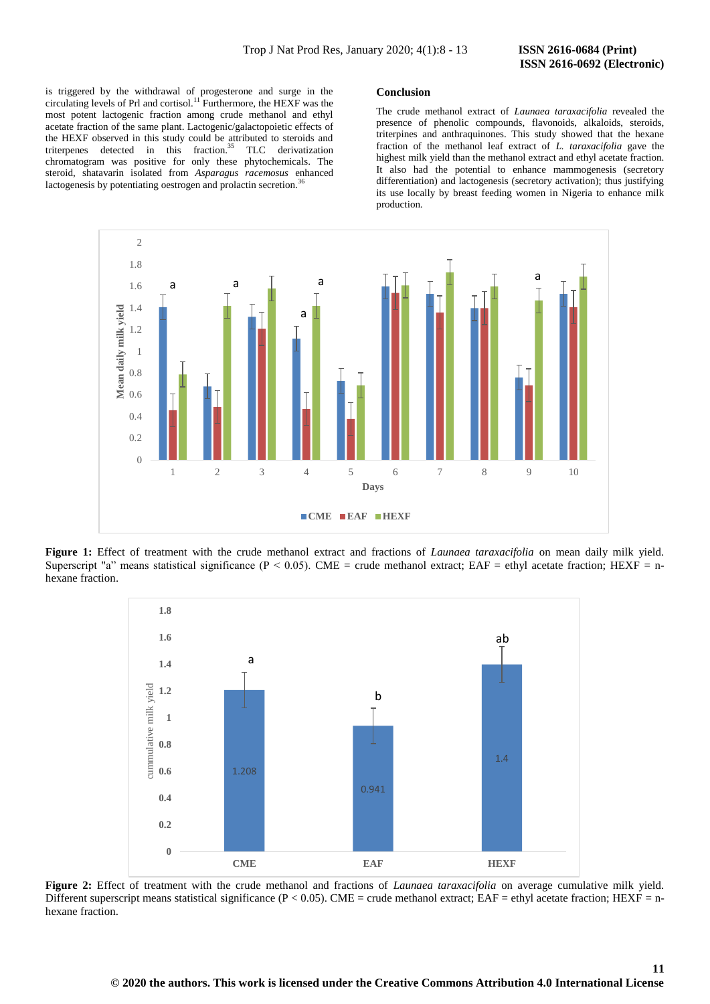**11**

is triggered by the withdrawal of progesterone and surge in the circulating levels of Prl and cortisol.<sup>11</sup> Furthermore, the HEXF was the most potent lactogenic fraction among crude methanol and ethyl acetate fraction of the same plant. Lactogenic/galactopoietic effects of the HEXF observed in this study could be attributed to steroids and triterpenes detected in this fraction.<sup>35</sup> TLC derivatization chromatogram was positive for only these phytochemicals. The steroid, shatavarin isolated from *Asparagus racemosus* enhanced lactogenesis by potentiating oestrogen and prolactin secretion.<sup>3</sup>

#### **Conclusion**

The crude methanol extract of *Launaea taraxacifolia* revealed the presence of phenolic compounds, flavonoids, alkaloids, steroids, triterpines and anthraquinones. This study showed that the hexane fraction of the methanol leaf extract of *L. taraxacifolia* gave the highest milk yield than the methanol extract and ethyl acetate fraction. It also had the potential to enhance mammogenesis (secretory differentiation) and lactogenesis (secretory activation); thus justifying its use locally by breast feeding women in Nigeria to enhance milk production.



**Figure 1:** Effect of treatment with the crude methanol extract and fractions of *Launaea taraxacifolia* on mean daily milk yield. Superscript "a" means statistical significance ( $P < 0.05$ ). CME = crude methanol extract; EAF = ethyl acetate fraction; HEXF = nhexane fraction.



**Figure 2:** Effect of treatment with the crude methanol and fractions of *Launaea taraxacifolia* on average cumulative milk yield. Different superscript means statistical significance ( $P < 0.05$ ). CME = crude methanol extract; EAF = ethyl acetate fraction; HEXF = nhexane fraction.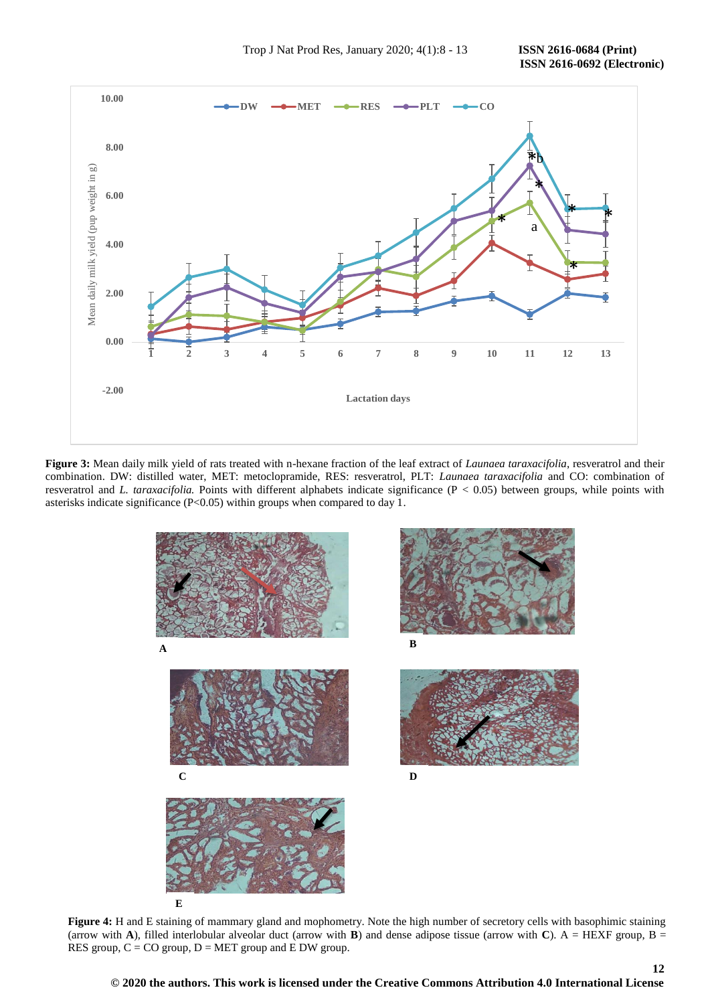

**Figure 3:** Mean daily milk yield of rats treated with n-hexane fraction of the leaf extract of *Launaea taraxacifolia*, resveratrol and their combination. DW: distilled water, MET: metoclopramide, RES: resveratrol, PLT: *Launaea taraxacifolia* and CO: combination of resveratrol and *L. taraxacifolia.* Points with different alphabets indicate significance (P < 0.05) between groups, while points with asterisks indicate significance (P<0.05) within groups when compared to day 1.



**Figure 4:** H and E staining of mammary gland and mophometry. Note the high number of secretory cells with basophimic staining (arrow with **A**), filled interlobular alveolar duct (arrow with **B**) and dense adipose tissue (arrow with **C**). A = HEXF group, B = RES group,  $C = CO$  group,  $D = MET$  group and  $E$  DW group.

**© 2020 the authors. This work is licensed under the Creative Commons Attribution 4.0 International License**